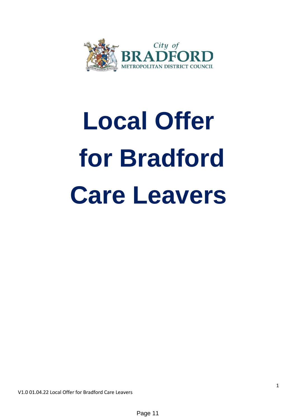

# **Local Offer for Bradford Care Leavers**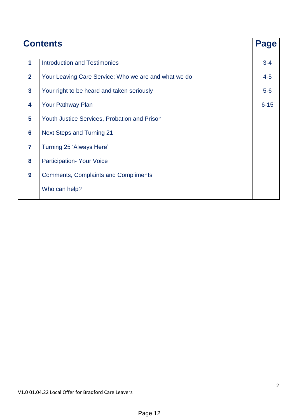|                 | <b>Contents</b>                                      | <b>Page</b> |
|-----------------|------------------------------------------------------|-------------|
| 1               | <b>Introduction and Testimonies</b>                  | $3 - 4$     |
| $\overline{2}$  | Your Leaving Care Service; Who we are and what we do | $4 - 5$     |
| $\mathbf{3}$    | Your right to be heard and taken seriously           | $5-6$       |
| 4               | Your Pathway Plan                                    | $6 - 15$    |
| 5               | Youth Justice Services, Probation and Prison         |             |
| $6\phantom{1}6$ | <b>Next Steps and Turning 21</b>                     |             |
| $\overline{7}$  | Turning 25 'Always Here'                             |             |
| 8               | <b>Participation- Your Voice</b>                     |             |
| 9               | <b>Comments, Complaints and Compliments</b>          |             |
|                 | Who can help?                                        |             |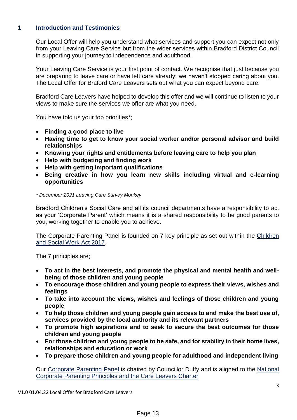# **1 Introduction and Testimonies**

Our Local Offer will help you understand what services and support you can expect not only from your Leaving Care Service but from the wider services within Bradford District Council in supporting your journey to independence and adulthood.

Your Leaving Care Service is your first point of contact. We recognise that just because you are preparing to leave care or have left care already; we haven't stopped caring about you. The Local Offer for Braford Care Leavers sets out what you can expect beyond care.

Bradford Care Leavers have helped to develop this offer and we will continue to listen to your views to make sure the services we offer are what you need.

You have told us your top priorities\*;

- **Finding a good place to live**
- **Having time to get to know your social worker and/or personal advisor and build relationships**
- **Knowing your rights and entitlements before leaving care to help you plan**
- **Help with budgeting and finding work**
- **Help with getting important qualifications**
- **Being creative in how you learn new skills including virtual and e-learning opportunities**

#### *\* December 2021 Leaving Care Survey Monkey*

Bradford Children's Social Care and all its council departments have a responsibility to act as your 'Corporate Parent' which means it is a shared responsibility to be good parents to you, working together to enable you to achieve.

The Corporate Parenting Panel is founded on 7 key principle as set out within the [Children](https://www.local.gov.uk/publications/get-act-children-and-social-work-act-2017)  [and Social Work Act 2017.](https://www.local.gov.uk/publications/get-act-children-and-social-work-act-2017)

The 7 principles are;

- **To act in the best interests, and promote the physical and mental health and wellbeing of those children and young people**
- **To encourage those children and young people to express their views, wishes and feelings**
- **To take into account the views, wishes and feelings of those children and young people**
- **To help those children and young people gain access to and make the best use of, services provided by the local authority and its relevant partners**
- **To promote high aspirations and to seek to secure the best outcomes for those children and young people**
- **For those children and young people to be safe, and for stability in their home lives, relationships and education or work**
- **To prepare those children and young people for adulthood and independent living**

Our [Corporate Parenting Panel](https://bradford.moderngov.co.uk/mgCommitteeDetails.aspx?ID=352) is chaired by Councillor Duffy and is aligned to the [National](https://www.gov.uk/government/publications/applying-corporate-parenting-principles-to-looked-after-children-and-care-leavers)  [Corporate Parenting Principles and the Care Leavers Charter](https://www.gov.uk/government/publications/applying-corporate-parenting-principles-to-looked-after-children-and-care-leavers)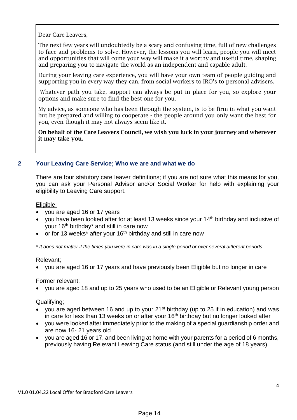Dear Care Leavers,

The next few years will undoubtedly be a scary and confusing time, full of new challenges to face and problems to solve. However, the lessons you will learn, people you will meet and opportunities that will come your way will make it a worthy and useful time, shaping and preparing you to navigate the world as an independent and capable adult.

During your leaving care experience, you will have your own team of people guiding and supporting you in every way they can, from social workers to IRO's to personal advisers.

Whatever path you take, support can always be put in place for you, so explore your options and make sure to find the best one for you.

My advice, as someone who has been through the system, is to be firm in what you want but be prepared and willing to cooperate - the people around you only want the best for you, even though it may not always seem like it.

On behalf of the Care Leavers Council, we wish you luck in your journey and wherever it may take you.

# **2 Your Leaving Care Service; Who we are and what we do**

There are four statutory care leaver definitions; if you are not sure what this means for you, you can ask your Personal Advisor and/or Social Worker for help with explaining your eligibility to Leaving Care support.

Eligible;

- you are aged 16 or 17 years
- you have been looked after for at least 13 weeks since your  $14<sup>th</sup>$  birthday and inclusive of your 16<sup>th</sup> birthday<sup>\*</sup> and still in care now
- or for 13 weeks<sup>\*</sup> after your 16<sup>th</sup> birthday and still in care now

*\* It does not matter if the times you were in care was in a single period or over several different periods.*

# Relevant;

you are aged 16 or 17 years and have previously been Eligible but no longer in care

# Former relevant;

you are aged 18 and up to 25 years who used to be an Eligible or Relevant young person

#### Qualifying;

- you are aged between 16 and up to your 21<sup>st</sup> birthday (up to 25 if in education) and was in care for less than 13 weeks on or after your 16<sup>th</sup> birthday but no longer looked after
- vou were looked after immediately prior to the making of a special guardianship order and are now 16- 21 years old
- vou are aged 16 or 17, and been living at home with your parents for a period of 6 months, previously having Relevant Leaving Care status (and still under the age of 18 years).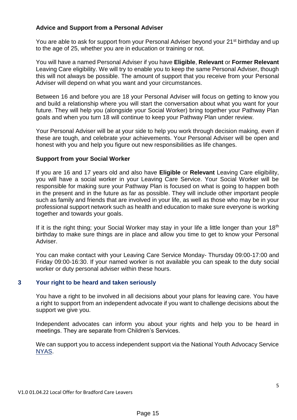# **Advice and Support from a Personal Adviser**

You are able to ask for support from your Personal Adviser beyond your 21<sup>st</sup> birthday and up to the age of 25, whether you are in education or training or not.

You will have a named Personal Adviser if you have **Eligible**, **Relevant** or **Former Relevant** Leaving Care eligibility. We will try to enable you to keep the same Personal Adviser, though this will not always be possible. The amount of support that you receive from your Personal Adviser will depend on what you want and your circumstances.

Between 16 and before you are 18 your Personal Adviser will focus on getting to know you and build a relationship where you will start the conversation about what you want for your future. They will help you (alongside your Social Worker) bring together your Pathway Plan goals and when you turn 18 will continue to keep your Pathway Plan under review.

Your Personal Adviser will be at your side to help you work through decision making, even if these are tough, and celebrate your achievements. Your Personal Adviser will be open and honest with you and help you figure out new responsibilities as life changes.

# **Support from your Social Worker**

If you are 16 and 17 years old and also have **Eligible** or **Relevant** Leaving Care eligibility, you will have a social worker in your Leaving Care Service. Your Social Worker will be responsible for making sure your Pathway Plan is focused on what is going to happen both in the present and in the future as far as possible. They will include other important people such as family and friends that are involved in your life, as well as those who may be in your professional support network such as health and education to make sure everyone is working together and towards your goals.

If it is the right thing; your Social Worker may stay in your life a little longer than your  $18<sup>th</sup>$ birthday to make sure things are in place and allow you time to get to know your Personal Adviser.

You can make contact with your Leaving Care Service Monday- Thursday 09:00-17:00 and Friday 09:00-16:30. If your named worker is not available you can speak to the duty social worker or duty personal adviser within these hours.

# **3 Your right to be heard and taken seriously**

You have a right to be involved in all decisions about your plans for leaving care. You have a right to support from an independent advocate if you want to challenge decisions about the support we give you.

Independent advocates can inform you about your rights and help you to be heard in meetings. They are separate from Children's Services.

We can support you to access independent support via the National Youth Advocacy Service [NYAS.](https://www.nyas.net/)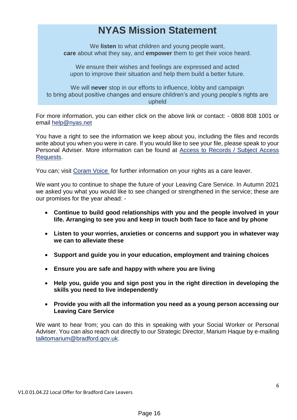# **NYAS Mission Statement**

We **listen** to what children and young people want, **care** about what they say, and **empower** them to get their voice heard.

We ensure their wishes and feelings are expressed and acted upon to improve their situation and help them build a better future.

We will **never** stop in our efforts to influence, lobby and campaign to bring about positive changes and ensure children's and young people's rights are upheld

For more information, you can either click on the above link or contact: - 0808 808 1001 or email [help@nyas.net](mailto:help@nyas.net)

You have a right to see the information we keep about you, including the files and records write about you when you were in care. If you would like to see your file, please speak to your Personal Adviser. More information can be found at [Access to Records / Subject Access](https://bradfordchildcare.proceduresonline.com/p_access_to_recs.html)  [Requests.](https://bradfordchildcare.proceduresonline.com/p_access_to_recs.html)

You can; visit [Coram Voice](https://coramvoice.org.uk/myrights/) for further information on your rights as a care leaver.

We want you to continue to shape the future of your Leaving Care Service. In Autumn 2021 we asked you what you would like to see changed or strengthened in the service; these are our promises for the year ahead: -

- **Continue to build good relationships with you and the people involved in your life. Arranging to see you and keep in touch both face to face and by phone**
- **Listen to your worries, anxieties or concerns and support you in whatever way we can to alleviate these**
- **Support and guide you in your education, employment and training choices**
- **Ensure you are safe and happy with where you are living**
- **Help you, guide you and sign post you in the right direction in developing the skills you need to live independently**
- **Provide you with all the information you need as a young person accessing our Leaving Care Service**

We want to hear from; you can do this in speaking with your Social Worker or Personal Adviser. You can also reach out directly to our Strategic Director, Marium Haque by e-mailing [talktomarium@bradford.gov.uk.](mailto:talktomarium@bradford.gov.uk)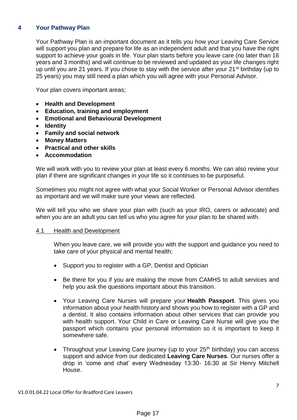# **4 Your Pathway Plan**

Your Pathway Plan is an important document as it tells you how your Leaving Care Service will support you plan and prepare for life as an independent adult and that you have the right support to achieve your goals in life. Your plan starts before you leave care (no later than 16 years and 3 months) and will continue to be reviewed and updated as your life changes right up until you are 21 years. If you chose to stay with the service after your 21<sup>st</sup> birthday (up to 25 years) you may still need a plan which you will agree with your Personal Advisor.

Your plan covers important areas;

- **Health and Development**
- **Education, training and employment**
- **Emotional and Behavioural Development**
- **Identity**
- **Family and social network**
- **Money Matters**
- **Practical and other skills**
- **Accommodation**

We will work with you to review your plan at least every 6 months. We can also review your plan if there are significant changes in your life so it continues to be purposeful.

Sometimes you might not agree with what your Social Worker or Personal Advisor identifies as important and we will make sure your views are reflected.

We will tell you who we share your plan with (such as your IRO, carers or advocate) and when you are an adult you can tell us who you agree for your plan to be shared with.

#### 4.1 Health and Development

When you leave care, we will provide you with the support and guidance you need to take care of your physical and mental health;

- Support you to register with a GP, Dentist and Optician
- Be there for you if you are making the move from CAMHS to adult services and help you ask the questions important about this transition.
- Your Leaving Care Nurses will prepare your **Health Passport**. This gives you information about your health history and shows you how to register with a GP and a dentist. It also contains information about other services that can provide you with health support. Your Child in Care or Leaving Care Nurse will give you the passport which contains your personal information so it is important to keep it somewhere safe.
- Throughout your Leaving Care journey (up to your 25<sup>th</sup> birthday) you can access support and advice from our dedicated **Leaving Care Nurses**. Our nurses offer a drop in 'come and chat' every Wednesday 13:30- 16:30 at Sir Henry Mitchell House.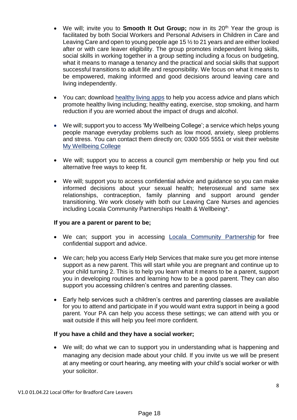- We will; invite you to **Smooth It Out Group**; now in its 20<sup>th</sup> Year the group is facilitated by both Social Workers and Personal Advisers in Children in Care and Leaving Care and open to young people age 15 ½ to 21 years and are either looked after or with care leaver eligibility. The group promotes independent living skills, social skills in working together in a group setting including a focus on budgeting, what it means to manage a tenancy and the practical and social skills that support successful transitions to adult life and responsibility. We focus on what it means to be empowered, making informed and good decisions around leaving care and living independently.
- You can; download [healthy living apps](https://www.bradford.gov.uk/health/improve-your-health/healthy-living-apps/) to help you access advice and plans which promote healthy living including; healthy eating, exercise, stop smoking, and harm reduction if you are worried about the impact of drugs and alcohol.
- We will; support you to access 'My Wellbeing College'; a service which helps young people manage everyday problems such as low mood, anxiety, sleep problems and stress. You can contact them directly on; 0300 555 5551 or visit their website [My Wellbeing College](https://bmywellbeingcollege.nhs.uk/)
- We will; support you to access a council gym membership or help you find out alternative free ways to keep fit.
- We will; support you to access confidential advice and guidance so you can make informed decisions about your sexual health; heterosexual and same sex relationships, contraception, family planning and support around gender transitioning. We work closely with both our Leaving Care Nurses and agencies including [Locala Community Partnerships](https://www.locala.org.uk/services/sexual-health/) Health & Wellbeing\*.

# **If you are a parent or parent to be;**

- We can; support you in accessing [Locala Community Partnership](https://www.locala.org.uk/services/sexual-health/) for free confidential support and advice.
- We can; help you access Early Help Services that make sure you get more intense support as a new parent. This will start while you are pregnant and continue up to your child turning 2. This is to help you learn what it means to be a parent, support you in developing routines and learning how to be a good parent. They can also support you accessing children's centres and parenting classes.
- Early help services such a children's centres and parenting classes are available for you to attend and participate in if you would want extra support in being a good parent. Your PA can help you access these settings; we can attend with you or wait outside if this will help you feel more confident.

# **If you have a child and they have a social worker;**

 We will; do what we can to support you in understanding what is happening and managing any decision made about your child. If you invite us we will be present at any meeting or court hearing, any meeting with your child's social worker or with your solicitor.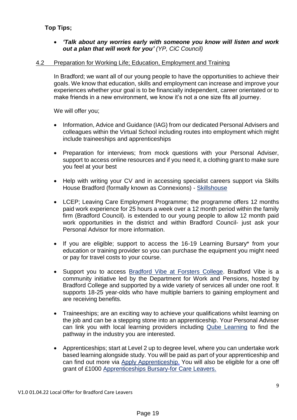# **Top Tips;**

 *'Talk about any worries early with someone you know will listen and work out a plan that will work for you' (YP, CiC Council)*

# 4.2 Preparation for Working Life; Education, Employment and Training

In Bradford; we want all of our young people to have the opportunities to achieve their goals. We know that education, skills and employment can increase and improve your experiences whether your goal is to be financially independent, career orientated or to make friends in a new environment, we know it's not a one size fits all journey.

We will offer you;

- Information, Advice and Guidance (IAG) from our dedicated Personal Advisers and colleagues within the Virtual School including routes into employment which might include traineeships and apprenticeships
- Preparation for interviews; from mock questions with your Personal Adviser, support to access online resources and if you need it, a clothing grant to make sure you feel at your best
- Help with writing your CV and in accessing specialist careers support via Skills House Bradford (formally known as Connexions) - [Skillshouse](https://www.skillshouse.co.uk/support-for-young-people/)
- [LCEP;](https://kickstart.campaign.gov.uk/) Leaving Care Employment Programme; the programme offers 12 months paid work experience for 25 hours a week over a 12 month period within the family firm (Bradford Council). is extended to our young people to allow 12 month paid work opportunities in the district and within Bradford Council- just ask your Personal Advisor for more information.
- If you are eligible; support to access the 16-19 Learning Bursary\* from your education or training provider so you can purchase the equipment you might need or pay for travel costs to your course.
- Support you to access [Bradford Vibe at Forsters College.](https://www.fenews.co.uk/skills/vibe-youth-hub-sees-its-grand-launch/) Bradford Vibe is a community initiative led by the Department for Work and Pensions, hosted by Bradford College and supported by a wide variety of services all under one roof. It supports 18-25 year-olds who have multiple barriers to gaining employment and are receiving benefits.
- Traineeships; are an exciting way to achieve your qualifications whilst learning on the job and can be a stepping stone into an apprenticeship. Your Personal Adviser can link you with local learning providers including [Qube Learning](https://www.qube-learning.co.uk/) to find the pathway in the industry you are interested.
- Apprenticeships; start at Level 2 up to degree level, where you can undertake work based learning alongside study. You will be paid as part of your apprenticeship and can find out more via [Apply Apprenticeship.](https://www.gov.uk/apply-apprenticeship) You will also be eligible for a one off grant of £1000 [Apprenticeships Bursary-for Care Leavers.](https://www.gov.uk/government/publications/apprenticeships-bursary-for-care-leavers/apprenticeships-care-leavers-bursary-policy-summary)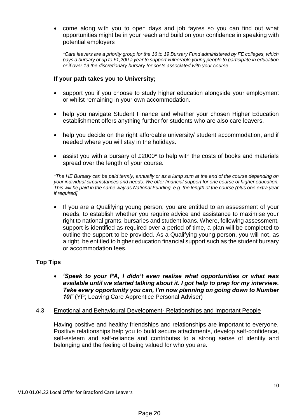come along with you to open days and job fayres so you can find out what opportunities might be in your reach and build on your confidence in speaking with potential employers

*\*Care leavers are a priority group for the 16 to 19 Bursary Fund administered by FE colleges, which pays a bursary of up to £1,200 a year to support vulnerable young people to participate in education or if over 19 the discretionary bursary for costs associated with your course*

# **If your path takes you to University;**

- support you if you choose to study higher education alongside your employment or whilst remaining in your own accommodation.
- help you navigate Student Finance and whether your chosen Higher Education establishment offers anything further for students who are also care leavers.
- help you decide on the right affordable university/ student accommodation, and if needed where you will stay in the holidays.
- assist you with a bursary of £2000\* to help with the costs of books and materials spread over the length of your course.

*\*The HE Bursary can be paid termly, annually or as a lump sum at the end of the course depending on your individual circumstances and needs. We offer financial support for one course of higher education. This will be paid in the same way as National Funding, e.g. the length of the course (plus one extra year if required]*

 If you are a Qualifying young person; you are entitled to an assessment of your needs, to establish whether you require advice and assistance to maximise your right to national grants, bursaries and student loans. Where, following assessment, support is identified as required over a period of time, a plan will be completed to outline the support to be provided. As a Qualifying young person, you will not, as a right, be entitled to higher education financial support such as the student bursary or accommodation fees.

# **Top Tips**

 *'Speak to your PA, I didn't even realise what opportunities or what was available until we started talking about it. I got help to prep for my interview. Take every opportunity you can, I'm now planning on going down to Number 10!'* (YP; Leaving Care Apprentice Personal Adviser)

# 4.3 Emotional and Behavioural Development- Relationships and Important People

Having positive and healthy friendships and relationships are important to everyone. Positive relationships help you to build secure attachments, develop self-confidence, self-esteem and self-reliance and contributes to a strong sense of identity and belonging and the feeling of being valued for who you are.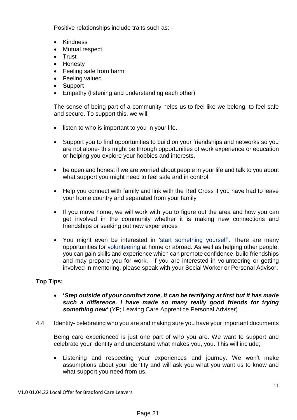Positive relationships include traits such as: -

- Kindness
- Mutual respect
- Trust
- Honesty
- Feeling safe from harm
- Feeling valued
- Support
- Empathy (listening and understanding each other)

The sense of being part of a community helps us to feel like we belong, to feel safe and secure. To support this, we will;

- listen to who is important to you in your life.
- Support you to find opportunities to build on your friendships and networks so you are not alone- this might be through opportunities of work experience or education or helping you explore your hobbies and interests.
- be open and honest if we are worried about people in your life and talk to you about what support you might need to feel safe and in control.
- Help you connect with family and link with the Red Cross if you have had to leave your home country and separated from your family
- If you move home, we will work with you to figure out the area and how you can get involved in the community whether it is making new connections and friendships or seeking out new experiences
- You might even be interested in ['start something yourself'](https://www.bradford.gov.uk/youth-info/leisure-and-community/do-it-yourself/). There are many opportunities for [volunteering](https://www.bradford.gov.uk/youth-info/volunteering/volunteering/) at home or abroad. As well as helping other people, you can gain skills and experience which can promote confidence, build friendships and may prepare you for work. If you are interested in volunteering or getting involved in mentoring, please speak with your Social Worker or Personal Advisor.

# **Top Tips;**

- **'***Step outside of your comfort zone, it can be terrifying at first but it has made such a difference. I have made so many really good friends for trying something new'* (YP; Leaving Care Apprentice Personal Adviser)
- 4.4 Identity- celebrating who you are and making sure you have your important documents

Being care experienced is just one part of who you are. We want to support and celebrate your identity and understand what makes you, you. This will include;

 Listening and respecting your experiences and journey. We won't make assumptions about your identity and will ask you what you want us to know and what support you need from us.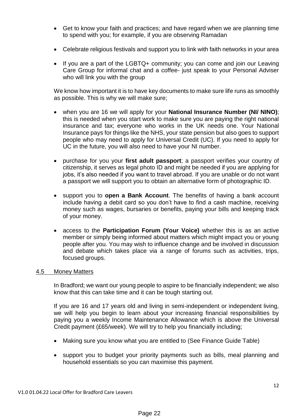- Get to know your faith and practices; and have regard when we are planning time to spend with you; for example, if you are observing Ramadan
- Celebrate religious festivals and support you to link with faith networks in your area
- If you are a part of the LGBTQ+ community; you can come and join our Leaving Care Group for informal chat and a coffee- just speak to your Personal Adviser who will link you with the group

We know how important it is to have key documents to make sure life runs as smoothly as possible. This is why we will make sure;

- when you are 16 we will apply for your **National Insurance Number (NI/ NINO)**; this is needed when you start work to make sure you are paying the right national insurance and tax; everyone who works in the UK needs one. Your National Insurance pays for things like the NHS, your state pension but also goes to support people who may need to apply for Universal Credit (UC). If you need to apply for UC in the future, you will also need to have your NI number.
- purchase for you your **first adult passport**; a passport verifies your country of citizenship, it serves as legal photo ID and might be needed if you are applying for jobs, it's also needed if you want to travel abroad. If you are unable or do not want a passport we will support you to obtain an alternative form of photographic ID.
- support you to **open a Bank Account**. The benefits of having a bank account include having a debit card so you don't have to find a cash machine, receiving money such as wages, bursaries or benefits, paying your bills and keeping track of your money.
- access to the **Participation Forum (Your Voice)** whether this is as an active member or simply being informed about matters which might impact you or young people after you. You may wish to influence change and be involved in discussion and debate which takes place via a range of forums such as activities, trips, focused groups.

#### 4.5 Money Matters

In Bradford; we want our young people to aspire to be financially independent; we also know that this can take time and it can be tough starting out.

If you are 16 and 17 years old and living in semi-independent or independent living, we will help you begin to learn about your increasing financial responsibilities by paying you a weekly Income Maintenance Allowance which is above the Universal Credit payment (£65/week). We will try to help you financially including;

- Making sure you know what you are entitled to (See Finance Guide Table)
- support you to budget your priority payments such as bills, meal planning and household essentials so you can maximise this payment.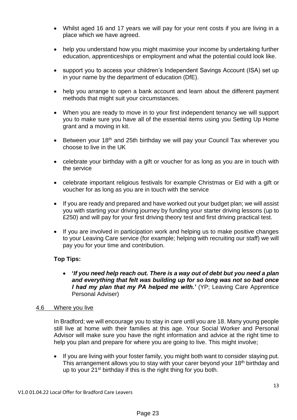- Whilst aged 16 and 17 years we will pay for your rent costs if you are living in a place which we have agreed.
- help you understand how you might maximise your income by undertaking further education, apprenticeships or employment and what the potential could look like.
- support you to access your children's Independent Savings Account (ISA) set up in your name by the department of education (DfE).
- help you arrange to open a bank account and learn about the different payment methods that might suit your circumstances.
- When you are ready to move in to your first independent tenancy we will support you to make sure you have all of the essential items using you Setting Up Home grant and a moving in kit.
- **•** Between your 18<sup>th</sup> and 25th birthday we will pay your Council Tax wherever you choose to live in the UK
- celebrate your birthday with a gift or voucher for as long as you are in touch with the service
- celebrate important religious festivals for example Christmas or Eid with a gift or voucher for as long as you are in touch with the service
- If you are ready and prepared and have worked out your budget plan; we will assist you with starting your driving journey by funding your starter driving lessons (up to £250) and will pay for your first driving theory test and first driving practical test.
- If you are involved in participation work and helping us to make positive changes to your Leaving Care service (for example; helping with recruiting our staff) we will pay you for your time and contribution.

# **Top Tips:**

 **'***If you need help reach out. There is a way out of debt but you need a plan and everything that felt was building up for so long was not so bad once I had my plan that my PA helped me with.'* (YP; Leaving Care Apprentice Personal Adviser)

# 4.6 Where you live

In Bradford; we will encourage you to stay in care until you are 18. Many young people still live at home with their families at this age. Your Social Worker and Personal Advisor will make sure you have the right information and advice at the right time to help you plan and prepare for where you are going to live. This might involve;

• If you are living with your foster family, you might both want to consider staying put. This arrangement allows you to stay with your carer beyond your 18<sup>th</sup> birthday and up to your 21<sup>st</sup> birthday if this is the right thing for you both.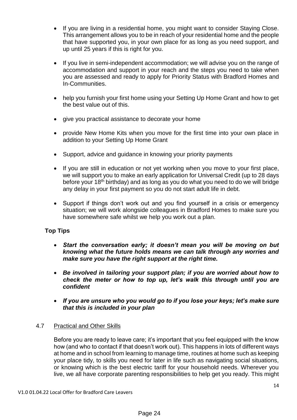- If you are living in a residential home, you might want to consider Staying Close. This arrangement allows you to be in reach of your residential home and the people that have supported you, in your own place for as long as you need support, and up until 25 years if this is right for you.
- If you live in semi-independent accommodation; we will advise you on the range of accommodation and support in your reach and the steps you need to take when you are assessed and ready to apply for Priority Status with Bradford Homes and In-Communities.
- help you furnish your first home using your Setting Up Home Grant and how to get the best value out of this.
- give you practical assistance to decorate your home
- provide New Home Kits when you move for the first time into your own place in addition to your Setting Up Home Grant
- Support, advice and guidance in knowing your priority payments
- If you are still in education or not yet working when you move to your first place, we will support you to make an early application for Universal Credit (up to 28 days before your 18th birthday) and as long as you do what you need to do we will bridge any delay in your first payment so you do not start adult life in debt.
- Support if things don't work out and you find yourself in a crisis or emergency situation; we will work alongside colleagues in Bradford Homes to make sure you have somewhere safe whilst we help you work out a plan.

# **Top Tips**

- *Start the conversation early; it doesn't mean you will be moving on but knowing what the future holds means we can talk through any worries and make sure you have the right support at the right time.*
- *Be involved in tailoring your support plan; if you are worried about how to check the meter or how to top up, let's walk this through until you are confident*
- *If you are unsure who you would go to if you lose your keys; let's make sure that this is included in your plan*

# 4.7 Practical and Other Skills

Before you are ready to leave care; it's important that you feel equipped with the know how (and who to contact if that doesn't work out). This happens in lots of different ways at home and in school from learning to manage time, routines at home such as keeping your place tidy, to skills you need for later in life such as navigating social situations, or knowing which is the best electric tariff for your household needs. Wherever you live, we all have corporate parenting responsibilities to help get you ready. This might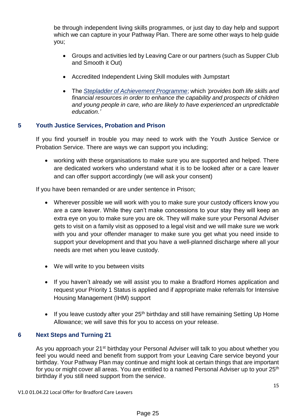be through independent living skills programmes, or just day to day help and support which we can capture in your Pathway Plan. There are some other ways to help guide you;

- Groups and activities led by Leaving Care or our partners (such as Supper Club and Smooth it Out)
- Accredited Independent Living Skill modules with Jumpstart
- The *[Stepladder of Achievement Programme](https://www.sharefound.org/stepladder)*; which *'provides both life skills and financial resources in order to enhance the capability and prospects of children and young people in care, who are likely to have experienced an unpredictable education.'*

# **5 Youth Justice Services, Probation and Prison**

If you find yourself in trouble you may need to work with the Youth Justice Service or Probation Service. There are ways we can support you including;

 working with these organisations to make sure you are supported and helped. There are dedicated workers who understand what it is to be looked after or a care leaver and can offer support accordingly (we will ask your consent)

If you have been remanded or are under sentence in Prison;

- Wherever possible we will work with you to make sure your custody officers know you are a care leaver. While they can't make concessions to your stay they will keep an extra eye on you to make sure you are ok. They will make sure your Personal Adviser gets to visit on a family visit as opposed to a legal visit and we will make sure we work with you and your offender manager to make sure you get what you need inside to support your development and that you have a well-planned discharge where all your needs are met when you leave custody.
- We will write to you between visits
- If you haven't already we will assist you to make a Bradford Homes application and request your Priority 1 Status is applied and if appropriate make referrals for Intensive Housing Management (IHM) support
- If you leave custody after your  $25<sup>th</sup>$  birthday and still have remaining Setting Up Home Allowance; we will save this for you to access on your release.

# **6 Next Steps and Turning 21**

As you approach your 21<sup>st</sup> birthday your Personal Adviser will talk to you about whether you feel you would need and benefit from support from your Leaving Care service beyond your birthday. Your Pathway Plan may continue and might look at certain things that are important for you or might cover all areas. You are entitled to a named Personal Adviser up to your 25<sup>th</sup> birthday if you still need support from the service.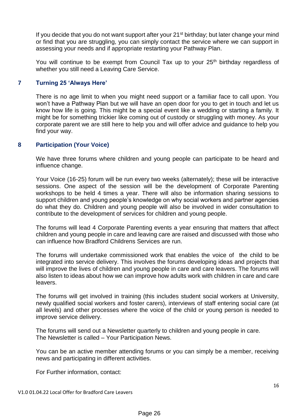If you decide that you do not want support after your  $21<sup>st</sup>$  birthday; but later change your mind or find that you are struggling, you can simply contact the service where we can support in assessing your needs and if appropriate restarting your Pathway Plan.

You will continue to be exempt from Council Tax up to your 25<sup>th</sup> birthday regardless of whether you still need a Leaving Care Service.

# **7 Turning 25 'Always Here'**

There is no age limit to when you might need support or a familiar face to call upon. You won't have a Pathway Plan but we will have an open door for you to get in touch and let us know how life is going. This might be a special event like a wedding or starting a family. It might be for something trickier like coming out of custody or struggling with money. As your corporate parent we are still here to help you and will offer advice and guidance to help you find your way.

# **8 Participation (Your Voice)**

We have three forums where children and young people can participate to be heard and influence change.

Your Voice (16-25) forum will be run every two weeks (alternately); these will be interactive sessions. One aspect of the session will be the development of Corporate Parenting workshops to be held 4 times a year. There will also be information sharing sessions to support children and young people's knowledge on why social workers and partner agencies do what they do. Children and young people will also be involved in wider consultation to contribute to the development of services for children and young people.

The forums will lead 4 Corporate Parenting events a year ensuring that matters that affect children and young people in care and leaving care are raised and discussed with those who can influence how Bradford Childrens Services are run.

The forums will undertake commissioned work that enables the voice of the child to be integrated into service delivery. This involves the forums developing ideas and projects that will improve the lives of children and young people in care and care leavers. The forums will also listen to ideas about how we can improve how adults work with children in care and care leavers.

The forums will get involved in training (this includes student social workers at University, newly qualified social workers and foster carers), interviews of staff entering social care (at all levels) and other processes where the voice of the child or young person is needed to improve service delivery.

The forums will send out a Newsletter quarterly to children and young people in care. The Newsletter is called – Your Participation News.

You can be an active member attending forums or you can simply be a member, receiving news and participating in different activities.

For Further information, contact: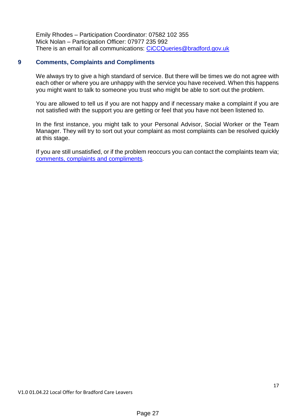Emily Rhodes – Participation Coordinator: 07582 102 355 Mick Nolan – Participation Officer: 07977 235 992 There is an email for all communications: [CiCCQueries@bradford.gov.uk](mailto:CiCCQueries@bradford.gov.uk)

# **9 Comments, Complaints and Compliments**

We always try to give a high standard of service. But there will be times we do not agree with each other or where you are unhappy with the service you have received. When this happens you might want to talk to someone you trust who might be able to sort out the problem.

You are allowed to tell us if you are not happy and if necessary make a complaint if you are not satisfied with the support you are getting or feel that you have not been listened to.

In the first instance, you might talk to your Personal Advisor, Social Worker or the Team Manager. They will try to sort out your complaint as most complaints can be resolved quickly at this stage.

If you are still unsatisfied, or if the problem reoccurs you can contact the complaints team via; [comments, complaints and compliments](https://www.bradford.gov.uk/compliments-and-complaints/childrens-social-care/how-to-make-a-comment-or-complaint-about-childrens-services/).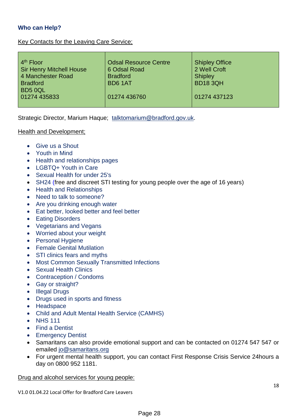# **Who can Help?**

# Key Contacts for the Leaving Care Service;

| 4 <sup>th</sup> Floor           | <b>Odsal Resource Centre</b> | <b>Shipley Office</b> |
|---------------------------------|------------------------------|-----------------------|
| <b>Sir Henry Mitchell House</b> | 6 Odsal Road                 | 2 Well Croft          |
| 4 Manchester Road               | <b>Bradford</b>              | <b>Shipley</b>        |
| <b>Bradford</b>                 | BD6 1AT                      | <b>BD18 3QH</b>       |
| BD5 0QL                         |                              |                       |
| 01274 435833                    | 01274 436760                 | 01274 437123          |
|                                 |                              |                       |

Strategic Director, Marium Haque; [talktomarium@bradford.gov.uk.](mailto:talktomarium@bradford.gov.uk)

# Health and Development;

- [Give us a Shout](https://giveusashout.org/)
- [Youth in Mind](https://youth-in-mind.org/)
- [Health and relationships pages](https://www.bradford.gov.uk/youth-info/health-and-relationships/health-and-relationships/)
- I GBTQ+ Youth in Care
- [Sexual Health for under 25's](https://www.locala.org.uk/your-healthcare/sexual-health/young-people-under-25/bradford/)
- [SH24](https://sh24.org.uk/) (free and discreet STI testing for young people over the age of 16 years)
- [Health and Relationships](https://www.bradford.gov.uk/youth-info/health-and-relationships/health-and-relationships/)
- [Need to talk to someone?](https://www.bradford.gov.uk/youth-info/health-and-relationships/need-to-talk-to-someone/)
- [Are you drinking enough water](https://www.bradford.gov.uk/youth-info/health-and-relationships/are-you-drinking-enough-water/)
- [Eat better, looked better and feel better](https://www.bradford.gov.uk/youth-info/health-and-relationships/eat-better-look-better-and-feel-better/)
- [Eating Disorders](https://www.bradford.gov.uk/youth-info/health-and-relationships/eating-disorders/)
- [Vegetarians and Vegans](https://www.bradford.gov.uk/youth-info/health-and-relationships/vegetarians-and-vegans/)
- [Worried about your weight](https://www.bradford.gov.uk/youth-info/head-space/worried-about-your-weight/)
- [Personal Hygiene](https://www.bradford.gov.uk/youth-info/health-and-relationships/personal-hygiene/)
- **•** [Female Genital Mutilation](https://www.bradford.gov.uk/youth-info/keeping-safe/female-genital-mutilation/)
- [STI clinics fears and myths](https://www.bradford.gov.uk/youth-info/health-and-relationships/sti-clinics-fears-and-myths/)
- [Most Common Sexually Transmitted Infections](https://www.bradford.gov.uk/youth-info/health-and-relationships/most-common-sexually-transmitted-infections/)
- [Sexual Health Clinics](https://www.bradford.gov.uk/youth-info/health-and-relationships/sexual-health-clinics/)
- [Contraception](https://www.bradford.gov.uk/youth-info/health-and-relationships/contraception/) / [Condoms](https://www.bradford.gov.uk/youth-info/health-and-relationships/condoms/)
- [Gay or straight?](https://www.bradford.gov.uk/youth-info/head-space/gay-or-straight/)
- [Illegal Drugs](https://www.bradford.gov.uk/youth-info/health-and-relationships/illegal-drugs/)
- [Drugs used in sports and fitness](https://www.bradford.gov.uk/youth-info/head-space/drugs-used-in-sports-and-fitness/)
- [Headspace](https://www.headspace.com/)
- [Child and Adult Mental Health Service \(CAMHS\)](https://www.bdct.nhs.uk/camhs-services-offer/)
- NHS 111
- [Find a Dentist](https://www.nhs.uk/service-search/find-a-dentist)
- [Emergency Dentist](https://www.nhsemergencydentist.co.uk/#:~:text=For%20a%2024%20hour%20dentist%20you%20should%20call,treatment%20you%20should%20call%20111%20to%20seek%20advise)
- Samaritans can also provide emotional support and can be contacted on 01274 547 547 or emailed [jo@samaritans.org](mailto:jo@samaritans.org)
- For urgent mental health support, you can contact First Response Crisis Service 24hours a day on 0800 952 1181.

Drug and alcohol services for young people: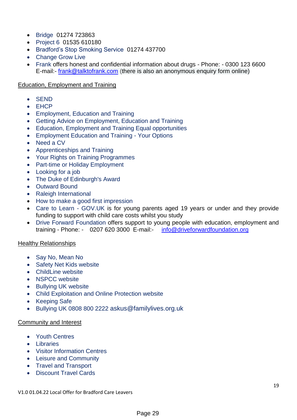- [Bridge](http://thebridgeproject.org.uk/) 01274 723863
- [Project 6](https://project6.org.uk/keighley/) 01535 610180
- [Bradford's Stop Smoking Service](https://www.bradford.gov.uk/health/improve-your-health/how-can-i-quit-smoking/) 01274 437700
- [Change Grow Live](https://www.changegrowlive.org/new-directions-bradford)
- [Frank](https://www.talktofrank.com/) offers honest and confidential information about drugs Phone: 0300 123 6600 E-mail:- [frank@talktofrank.com](mailto:frank@talktofrank.com) (there is also an anonymous enquiry form online)

# Education, Employment and Training

- SEND
- EHCP
- [Employment, Education and Training](https://www.bradford.gov.uk/youth-info/employment-education-and-training/employment-education-and-training/)
- [Getting Advice on Employment, Education and Training](https://www.bradford.gov.uk/youth-info/employment-education-and-training/getting-advice/)
- [Education, Employment and Training Equal opportunities](https://www.bradford.gov.uk/youth-info/employment-education-and-training/equal-opportunities/)
- [Employment Education and Training -](https://www.bradford.gov.uk/youth-info/employment-education-and-training/your-options/) Your Options
- [Need a CV](https://www.bradford.gov.uk/youth-info/employment-education-and-training/need-a-cv/)
- [Apprenticeships and Training](https://www.bradford.gov.uk/youth-info/employment-education-and-training/apprenticeships-and-training/)
- [Your Rights on Training Programmes](https://www.bradford.gov.uk/youth-info/employment-education-and-training/your-rights-on-training-programmes/)
- [Part-time or Holiday Employment](https://www.bradford.gov.uk/youth-info/employment-education-and-training/five-ways-to-secure-a-holiday-or-part-time-job/)
- [Looking for a job](https://www.bradford.gov.uk/youth-info/employment-education-and-training/looking-for-a-job/)
- [The Duke of Edinburgh's Award](https://www.bradford.gov.uk/youth-info/leisure-and-community/the-duke-of-edinburghs-award/)
- [Outward Bound](https://www.bradford.gov.uk/youth-info/leisure-and-community/outward-bound/)
- [Raleigh International](https://www.bradford.gov.uk/youth-info/leisure-and-community/raleigh-international/)
- [How to make a good first impression](https://www.bradford.gov.uk/youth-info/employment-education-and-training/how-to-make-a-fantastic-first-impression/)
- [Care to Learn -](https://www.gov.uk/care-to-learn) GOV.UK is for young parents aged 19 years or under and they provide funding to support with child care costs whilst you study
- [Drive Forward Foundation](https://driveforwardfoundation.org/) offers support to young people with education, employment and training - Phone: - 0207 620 3000 E-mail:- [info@driveforwardfoundation.org](mailto:info@driveforwardfoundation.org)

# Healthy Relationships

- [Say No, Mean No](https://www.bradford.gov.uk/children-young-people-and-families/get-advice-and-support/say-no-mean-no/)
- [Safety Net Kids website](http://www.safetynetkids.org.uk/)
- [ChildLine website](https://www.childline.org.uk/)
- [NSPCC website](http://www.nspcc.org.uk/)
- Bullving UK website
- [Child Exploitation and Online Protection website](http://www.ceop.police.uk/)
- [Keeping Safe](https://www.bradford.gov.uk/youth-info/keeping-safe/keeping-safe/)
- [Bullying UK](https://www.bullying.co.uk/) 0808 800 2222 [askus@familylives.org.uk](mailto:askus@familylives.org.uk)

# Community and Interest

- [Youth Centres](https://www.bradford.gov.uk/youth-info/leisure-and-community/youth-centres/)
- **.** [Libraries](https://www.bradford.gov.uk/libraries/find-your-local-library/find-your-local-library/)
- [Visitor Information Centres](https://www.visitbradford.com/visitor-information-centres.aspx)
- [Leisure and Community](https://www.bradford.gov.uk/youth-info/leisure-and-community/leisure-and-community/)
- [Travel and Transport](https://www.bradford.gov.uk/youth-info/travel-and-transport/travel-and-transport/)
- [Discount Travel Cards](https://www.bradford.gov.uk/youth-info/travel-and-transport/discount-travel-cards/)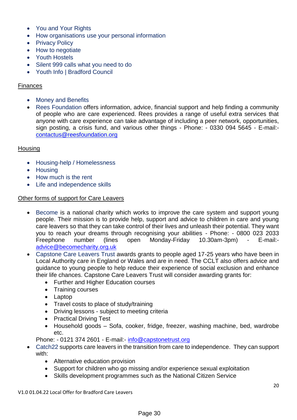- [You and Your Rights](https://www.bradford.gov.uk/youth-info/you-and-your-rights/you-and-your-rights/)
- [How organisations use your personal information](https://www.bradford.gov.uk/youth-info/you-and-your-rights/how-organisations-use-your-personal-information/)
- [Privacy Policy](https://www.bradford.gov.uk/youth-info/you-and-your-rights/privacy-policy/)
- [How to negotiate](https://www.bradford.gov.uk/youth-info/head-space/how-to-negotiate/)
- [Youth Hostels](https://www.bradford.gov.uk/youth-info/leisure-and-community/youth-hostels/)
- [Silent 999 calls what you need to do](https://www.bradford.gov.uk/youth-info/keeping-safe/silent-999-calls-what-you-need-to-do/)
- [Youth Info | Bradford Council](https://www.bradford.gov.uk/youth-info/youth-info/)

# Finances

- [Money and Benefits](https://www.bradford.gov.uk/youth-info/money-and-benefits/money-and-benefits/)
- [Rees Foundation](https://www.reesfoundation.org/) offers information, advice, financial support and help finding a community of people who are care experienced. Rees provides a range of useful extra services that anyone with care experience can take advantage of including a peer network, opportunities, sign posting, a crisis fund, and various other things - Phone: - 0330 094 5645 - E-mail: [contactus@reesfoundation.org](mailto:contactus@reesfoundation.org)

# **Housing**

- [Housing-help / Homelessness](https://www.bradford.gov.uk/youth-info/housing-help/homelessness/)
- [Housing](https://www.bradford.gov.uk/youth-info/housing-help/housing-what-you-need-to-know/)
- [How much is the rent](https://www.bradford.gov.uk/youth-info/housing-help/how-much-is-the-rent/)
- [Life and independence skills](https://www.bradford.gov.uk/youth-info/life-skills/life-and-independence-skills/)

# Other forms of support for Care Leavers

- [Become](https://www.becomecharity.org.uk/) is a national charity which works to improve the care system and support young people. Their mission is to provide help, support and advice to children in care and young care leavers so that they can take control of their lives and unleash their potential. They want you to reach your dreams through recognising your abilities - Phone: - 0800 023 2033 Freephone number (lines open Monday-Friday 10.30am-3pm) - E-mail: [advice@becomecharity.org.uk](mailto:advice@becomecharity.org.uk)
- [Capstone Care Leavers Trust](https://www.capstonecareleaverstrust.org/) awards grants to people aged 17-25 years who have been in Local Authority care in England or Wales and are in need. The CCLT also offers advice and guidance to young people to help reduce their experience of social exclusion and enhance their life chances. Capstone Care Leavers Trust will consider awarding grants for:
	- Further and Higher Education courses
	- Training courses
	- Laptop
	- Travel costs to place of study/training
	- Driving lessons subject to meeting criteria
	- Practical Driving Test
	- Household goods Sofa, cooker, fridge, freezer, washing machine, bed, wardrobe etc.

Phone: - 0121 374 2601 - E-mail:- [info@capstonetrust.org](mailto:info@capstonetrust.org)

- [Catch22](https://www.catch-22.org.uk/offers/looked-after-children-and-care-leavers/) supports care leavers in the transition from care to independence. They can support with:
	- Alternative education provision
	- Support for children who go missing and/or experience sexual exploitation
	- Skills development programmes such as the National Citizen Service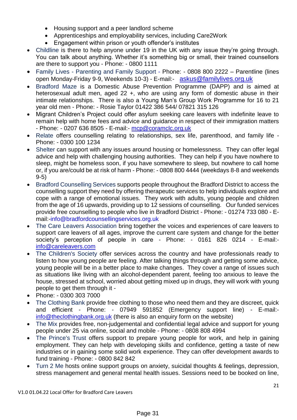- Housing support and a peer landlord scheme
- Apprenticeships and employability services, including Care2Work
- Engagement within prison or youth offender's institutes
- [Childline](https://www.childline.org.uk/?gclsrc=aw.ds&&gclid=EAIaIQobChMI2ZyhtMCw8wIV0NPtCh3B4AcdEAAYASAAEgIz4fD_BwE&gclsrc=aw.ds) is there to help anyone under 19 in the UK with any issue they're going through. You can talk about anything. Whether it's something big or small, their trained counsellors are there to support you - Phone: - 0800 1111
- Family Lives [Parenting and Family Support](https://www.familylives.org.uk/) Phone: 0808 800 2222 Parentline (lines open Monday-Friday 9-9, Weekends 10-3) - E-mail:- [askus@familylives.org.uk](mailto:askus@familylives.org.uk)
- [Bradford Maze](https://localoffer.bradford.gov.uk/service/731-bradford-maze) is a Domestic Abuse Prevention Programme (DAPP) and is aimed at heterosexual adult men, aged 22 +, who are using any form of domestic abuse in their intimate relationships. There is also a Young Man's Group Work Programme for 16 to 21 year old men - Phone: - Rosie Taylor 01422 386 544/ 07821 315 126
- Migrant Children's Project could offer asylum seeking care leavers with indefinite leave to remain help with home fees and advice and guidance in respect of their immigration matters - Phone: - 0207 636 8505 - E-mail:- [mcp@coramclc.org.uk](mailto:mcp@coramclc.org.uk)
- [Relate](https://www.relate.org.uk/) offers counselling relating to relationships, sex life, parenthood, and family life -Phone: - 0300 100 1234
- [Shelter](https://www.shelter.org.uk/) can support with any issues around housing or homelessness. They can offer legal advice and help with challenging housing authorities. They can help if you have nowhere to sleep, might be homeless soon, if you have somewhere to sleep, but nowhere to call home or, if you are/could be at risk of harm - Phone: - 0808 800 4444 (weekdays 8-8 and weekends 9-5)
- [Bradford Counselling Services](https://bradfordcounsellingservices.org.uk/) supports people throughout the Bradford District to access the counselling support they need by offering therapeutic services to help individuals explore and cope with a range of emotional issues. They work with adults, young people and children from the age of 16 upwards, providing up to 12 sessions of counselling. Our funded services provide free counselling to people who live in Bradford District - Phone: - 01274 733 080 - Email:[-info@bradfordcounsellingservices.org.uk](mailto:info@bradfordcounsellingservices.org.uk)
- [The Care Leavers Association](https://www.careleavers.com/) bring together the voices and experiences of care leavers to support care leavers of all ages, improve the current care system and change for the better society's perception of people in care - Phone: - 0161 826 0214 - E-mail: [info@careleavers.com](mailto:info@careleavers.com)
- [The Children's Society](https://www.childrenssociety.org.uk/information/young-people) offer services across the country and have professionals ready to listen to how young people are feeling. After talking things through and getting some advice, young people will be in a better place to make changes. They cover a range of issues such as situations like living with an alcohol-dependent parent, feeling too anxious to leave the house, stressed at school, worried about getting mixed up in drugs, they will work with young people to get them through it -
- Phone: 0300 303 7000
- [The Clothing Bank](https://theclothingbank.org.uk/) provide free clothing to those who need them and they are discreet, quick and efficient - Phone: - 07949 591852 (Emergency support line) - E-mail: [info@theclothingbank.org.uk](mailto:info@theclothingbank.org.uk) (there is also an enquiry form on the website)
- [The Mix](https://www.themix.org.uk/) provides free, non-judgemental and confidential legal advice and support for young people under 25 via online, social and mobile - Phone: - 0808 808 4994
- [The Prince's Trust](https://www.princes-trust.org.uk/) offers support to prepare young people for work, and help in gaining employment. They can help with developing skills and confidence, getting a taste of new industries or in gaining some solid work experience. They can offer development awards to fund training - Phone: - 0800 842 842
- [Turn 2 Me](https://turn2me.ie/?gclid=EAIaIQobChMIj7OFs8aw8wIVwp7tCh0t8wALEAAYASAAEgJNL_D_BwE) hosts online support groups on anxiety, suicidal thoughts & feelings, depression, stress management and general mental health issues. Sessions need to be booked on line,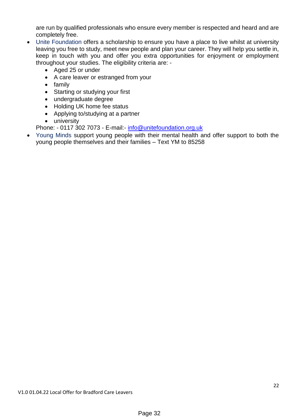are run by qualified professionals who ensure every member is respected and heard and are completely free.

- [Unite Foundation](http://www.unitefoundation.co.uk/get-a-scholarshiphttps:/thisisusatuni.org) offers a scholarship to ensure you have a place to live whilst at university leaving you free to study, meet new people and plan your career. They will help you settle in, keep in touch with you and offer you extra opportunities for enjoyment or employment throughout your studies. The eligibility criteria are: -
	- Aged 25 or under
	- A care leaver or estranged from your
	- family
	- Starting or studying your first
	- undergraduate degree
	- Holding UK home fee status
	- Applying to/studying at a partner
	- university

Phone: - 0117 302 7073 - E-mail:- [info@unitefoundation.org.uk](mailto:info@unitefoundation.org.uk)

 [Young Minds](https://www.youngminds.org.uk/) support young people with their mental health and offer support to both the young people themselves and their families – Text YM to 85258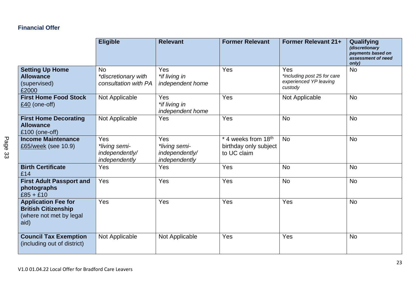# **Financial Offer**

|                                                                                             | <b>Eligible</b>                                          | <b>Relevant</b>                                         | <b>Former Relevant</b>                                      | <b>Former Relevant 21+</b>                                              | Qualifying<br>(discretionary<br>payments based on<br>assessment of need<br>only) |
|---------------------------------------------------------------------------------------------|----------------------------------------------------------|---------------------------------------------------------|-------------------------------------------------------------|-------------------------------------------------------------------------|----------------------------------------------------------------------------------|
| <b>Setting Up Home</b><br><b>Allowance</b><br>(supervised)<br>£2000                         | <b>No</b><br>*discretionary with<br>consultation with PA | <b>Yes</b><br>*if living in<br>independent home         | Yes                                                         | Yes<br>*including post 25 for care<br>experienced YP leaving<br>custody | <b>No</b>                                                                        |
| <b>First Home Food Stock</b><br>$£40$ (one-off)                                             | Not Applicable                                           | Yes<br>*if living in<br>independent home                | Yes                                                         | Not Applicable                                                          | <b>No</b>                                                                        |
| <b>First Home Decorating</b><br><b>Allowance</b><br>£100 (one-off)                          | Not Applicable                                           | Yes                                                     | Yes                                                         | <b>No</b>                                                               | <b>No</b>                                                                        |
| <b>Income Maintenance</b><br>£65/week (see 10.9)                                            | Yes<br>*living semi-<br>independently/<br>independently  | Yes<br>*living semi-<br>independently/<br>independently | * 4 weeks from 18th<br>birthday only subject<br>to UC claim | <b>No</b>                                                               | <b>No</b>                                                                        |
| <b>Birth Certificate</b><br>£14                                                             | Yes                                                      | Yes                                                     | Yes                                                         | <b>No</b>                                                               | <b>No</b>                                                                        |
| <b>First Adult Passport and</b><br>photographs<br>$£85 + £10$                               | Yes                                                      | Yes                                                     | Yes                                                         | <b>No</b>                                                               | <b>No</b>                                                                        |
| <b>Application Fee for</b><br><b>British Citizenship</b><br>(where not met by legal<br>aid) | Yes                                                      | Yes                                                     | Yes                                                         | Yes                                                                     | <b>No</b>                                                                        |
| <b>Council Tax Exemption</b><br>(including out of district)                                 | Not Applicable                                           | Not Applicable                                          | Yes                                                         | Yes                                                                     | <b>No</b>                                                                        |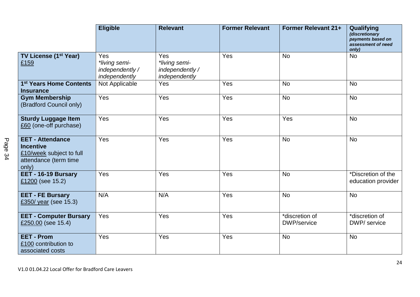|                                                                                                           | <b>Eligible</b>                                          | <b>Relevant</b>                                          | <b>Former Relevant</b> | Former Relevant 21+                   | Qualifying<br>(discretionary<br>payments based on<br>assessment of need<br>only) |
|-----------------------------------------------------------------------------------------------------------|----------------------------------------------------------|----------------------------------------------------------|------------------------|---------------------------------------|----------------------------------------------------------------------------------|
| TV License (1 <sup>st</sup> Year)<br>£159                                                                 | Yes<br>*living semi-<br>independently /<br>independently | Yes<br>*living semi-<br>independently /<br>independently | Yes                    | <b>No</b>                             | <b>No</b>                                                                        |
| 1 <sup>st</sup> Years Home Contents<br><b>Insurance</b>                                                   | Not Applicable                                           | Yes                                                      | Yes                    | <b>No</b>                             | <b>No</b>                                                                        |
| <b>Gym Membership</b><br>(Bradford Council only)                                                          | Yes                                                      | Yes                                                      | Yes                    | <b>No</b>                             | <b>No</b>                                                                        |
| <b>Sturdy Luggage Item</b><br>£60 (one-off purchase)                                                      | Yes                                                      | Yes                                                      | Yes                    | Yes                                   | <b>No</b>                                                                        |
| <b>EET - Attendance</b><br><b>Incentive</b><br>£10/week subject to full<br>attendance (term time<br>only) | Yes                                                      | Yes                                                      | Yes                    | <b>No</b>                             | <b>No</b>                                                                        |
| EET - 16-19 Bursary<br>£1200 (see 15.2)                                                                   | Yes                                                      | Yes                                                      | Yes                    | <b>No</b>                             | *Discretion of the<br>education provider                                         |
| <b>EET - FE Bursary</b><br>£350/ year (see 15.3)                                                          | N/A                                                      | N/A                                                      | Yes                    | <b>No</b>                             | <b>No</b>                                                                        |
| <b>EET - Computer Bursary</b><br>£250.00 (see 15.4)                                                       | Yes                                                      | Yes                                                      | Yes                    | *discretion of<br><b>DWP</b> /service | *discretion of<br>DWP/ service                                                   |
| <b>EET - Prom</b><br>£100 contribution to<br>associated costs                                             | Yes                                                      | Yes                                                      | Yes                    | <b>No</b>                             | <b>No</b>                                                                        |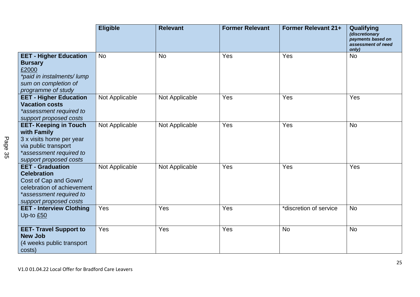|                                                                                                                                                           | <b>Eligible</b> | <b>Relevant</b> | <b>Former Relevant</b> | <b>Former Relevant 21+</b> | Qualifying<br>(discretionary<br>payments based on<br>assessment of need<br>only) |
|-----------------------------------------------------------------------------------------------------------------------------------------------------------|-----------------|-----------------|------------------------|----------------------------|----------------------------------------------------------------------------------|
| <b>EET - Higher Education</b><br><b>Bursary</b><br>£2000<br>*paid in instalments/lump<br>sum on completion of<br>programme of study                       | <b>No</b>       | <b>No</b>       | Yes                    | Yes                        | <b>No</b>                                                                        |
| <b>EET - Higher Education</b><br><b>Vacation costs</b><br>*assessment required to<br>support proposed costs                                               | Not Applicable  | Not Applicable  | Yes                    | Yes                        | Yes                                                                              |
| <b>EET- Keeping in Touch</b><br>with Family<br>3 x visits home per year<br>via public transport<br>*assessment required to<br>support proposed costs      | Not Applicable  | Not Applicable  | Yes                    | Yes                        | <b>No</b>                                                                        |
| <b>EET - Graduation</b><br><b>Celebration</b><br>Cost of Cap and Gown/<br>celebration of achievement<br>*assessment required to<br>support proposed costs | Not Applicable  | Not Applicable  | Yes                    | Yes                        | Yes                                                                              |
| <b>EET - Interview Clothing</b><br>Up-to £50                                                                                                              | Yes             | Yes             | Yes                    | *discretion of service     | <b>No</b>                                                                        |
| <b>EET- Travel Support to</b><br><b>New Job</b><br>(4 weeks public transport<br>costs)                                                                    | Yes             | Yes             | Yes                    | <b>No</b>                  | <b>No</b>                                                                        |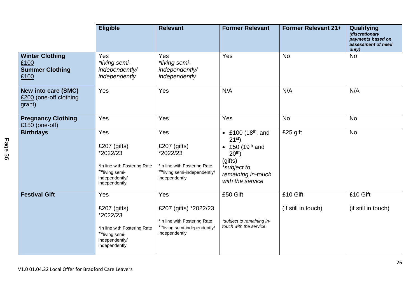|                                                                  | <b>Eligible</b>                                                                                                         | <b>Relevant</b>                                                                                                     | <b>Former Relevant</b>                                                                                                                                            | Former Relevant 21+             | Qualifying<br>(discretionary<br>payments based on<br>assessment of need<br>only) |
|------------------------------------------------------------------|-------------------------------------------------------------------------------------------------------------------------|---------------------------------------------------------------------------------------------------------------------|-------------------------------------------------------------------------------------------------------------------------------------------------------------------|---------------------------------|----------------------------------------------------------------------------------|
| <b>Winter Clothing</b><br>£100<br><b>Summer Clothing</b><br>£100 | Yes<br>*living semi-<br>independently/<br>independently                                                                 | Yes<br>*living semi-<br>independently/<br>independently                                                             | Yes                                                                                                                                                               | <b>No</b>                       | <b>No</b>                                                                        |
| <b>New into care (SMC)</b><br>£200 (one-off clothing<br>grant)   | Yes                                                                                                                     | Yes                                                                                                                 | N/A                                                                                                                                                               | N/A                             | N/A                                                                              |
| <b>Pregnancy Clothing</b><br>£150 (one-off)                      | Yes                                                                                                                     | Yes                                                                                                                 | Yes                                                                                                                                                               | <b>No</b>                       | <b>No</b>                                                                        |
| <b>Birthdays</b>                                                 | Yes<br>£207 $(j$ ifts)<br>*2022/23<br>*In line with Fostering Rate<br>**living semi-<br>independently/<br>independently | Yes<br>£207 $(j$ ifts)<br>*2022/23<br>*In line with Fostering Rate<br>**living semi-independently/<br>independently | • £100 $(18^{th},$ and<br>21 <sup>st</sup><br>• £50 (19 <sup>th</sup> and<br>20 <sup>th</sup><br>(gifts)<br>*subject to<br>remaining in-touch<br>with the service | £25 gift                        | <b>No</b>                                                                        |
| <b>Festival Gift</b>                                             | Yes<br>$£207$ (gifts)<br>*2022/23<br>*In line with Fostering Rate<br>**living semi-<br>independently/<br>independently  | Yes<br>£207 (gifts) *2022/23<br>*In line with Fostering Rate<br>**living semi-independently/<br>independently       | £50 Gift<br>*subject to remaining in-<br>touch with the service                                                                                                   | £10 Gift<br>(if still in touch) | £10 Gift<br>(if still in touch)                                                  |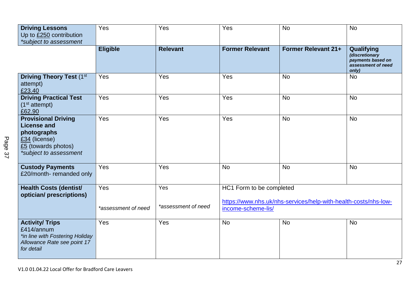| <b>Driving Lessons</b><br>Up to £250 contribution<br>*subject to assessment                                                       | Yes                        | Yes                        | Yes                                                                                                               | <b>No</b>                  | <b>No</b>                                                                        |
|-----------------------------------------------------------------------------------------------------------------------------------|----------------------------|----------------------------|-------------------------------------------------------------------------------------------------------------------|----------------------------|----------------------------------------------------------------------------------|
|                                                                                                                                   | <b>Eligible</b>            | <b>Relevant</b>            | <b>Former Relevant</b>                                                                                            | <b>Former Relevant 21+</b> | Qualifying<br>(discretionary<br>payments based on<br>assessment of need<br>only) |
| <b>Driving Theory Test (1st</b><br>attempt)<br>£23.40                                                                             | Yes                        | Yes                        | Yes                                                                                                               | <b>No</b>                  | <b>No</b>                                                                        |
| <b>Driving Practical Test</b><br>(1 <sup>st</sup> attempt)<br>£62.90                                                              | Yes                        | Yes                        | Yes                                                                                                               | <b>No</b>                  | <b>No</b>                                                                        |
| <b>Provisional Driving</b><br><b>License and</b><br>photographs<br>£34 (license)<br>£5 (towards photos)<br>*subject to assessment | Yes                        | Yes                        | Yes                                                                                                               | <b>No</b>                  | <b>No</b>                                                                        |
| <b>Custody Payments</b><br>£20/month-remanded only                                                                                | Yes                        | Yes                        | <b>No</b>                                                                                                         | <b>No</b>                  | <b>No</b>                                                                        |
| <b>Health Costs (dentist/</b><br>optician/ prescriptions)                                                                         | Yes<br>*assessment of need | Yes<br>*assessment of need | HC1 Form to be completed<br>https://www.nhs.uk/nhs-services/help-with-health-costs/nhs-low-<br>income-scheme-lis/ |                            |                                                                                  |
| <b>Activity/ Trips</b><br>£414/annum<br>*in line with Fostering Holiday<br>Allowance Rate see point 17<br>for detail              | Yes                        | Yes                        | <b>No</b>                                                                                                         | <b>No</b>                  | <b>No</b>                                                                        |